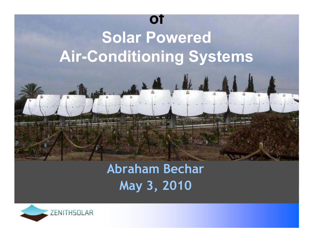

### **Abraham BecharMay 3, 2010**

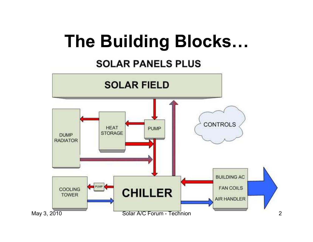## **The Building Blocks…**

#### **SOLAR PANELS PLUS**

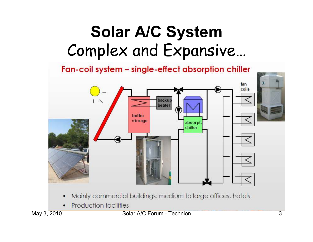## **Solar A/C System**Complex and Expansive…

Fan-coil system - single-effect absorption chiller



**Production facilities**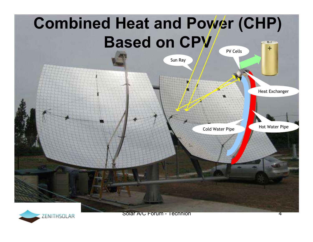



ZENITHSOLAR Solar A/C Forum - Technion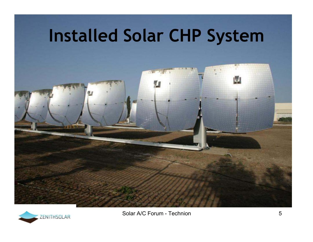





ZENITHSOLAR Solar A/C Forum - Technion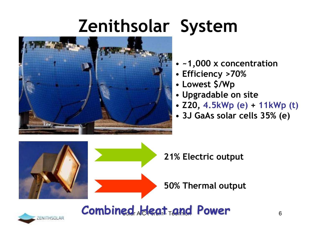# **Zenithsolar System**



#### • **~1,000 x concentration**

- **Efficiency >70%**
- •**Lowest \$/Wp**
- **Upgradable on site**
- **Z20, 4.5kWp (e) + 11kWp (t)**
- **3J GaAs solar cells 35% (e)**



**May 2010 Solar AIC Forum Technics Combined Heat and Power**

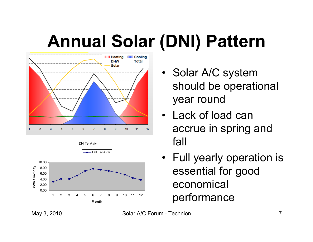# **Annual Solar (DNI) Pattern**





- Solar A/C system should be operational year round
- Lack of load can accrue in spring and fall
- Full yearly operation is essential for good economical performance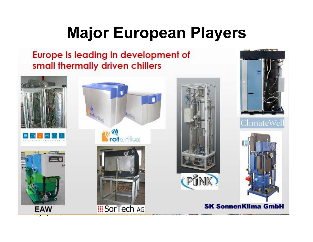## **Major European Players**

#### Europe is leading in development of small thermally driven chillers

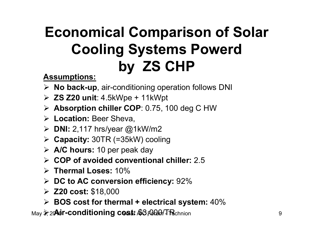### **Economical Comparison of Solar Cooling Systems Powerdby ZS CHP**

**Assumptions:**

- **EXA No back-up**, air-conditioning operation follows DNI<br>► **70 700** 11:4 5 W
- **ZS Z20 unit**: 4.5kWpe + 11kWpt
- **Absorption chiller COP**: 0.75, 100 deg C HW
- **Location:** Beer Sheva,
- **DNI:** 2,117 hrs/year @1kW/m2
- **Capacity:** 30TR (=35kW) cooling
- **A/C hours:** 10 per peak day
- **COP of avoided conventional chiller:** 2.5
- **Thermal Loses:** 10%
- **DC to AC conversion efficiency:** 92%
- **Z20 cost:** \$18,000
- **BOS cost for thermal + electrical system:** 40%

May <mark>》20**Air-conditioning cost:** \$3,000/TRchnion</mark>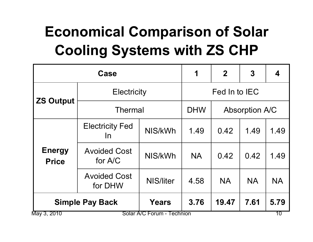## **Economical Comparison of Solar Cooling Systems with ZS CHP**

| Case                                      |                                     |                  | 1             | $\mathbf 2$           | 3         |           |
|-------------------------------------------|-------------------------------------|------------------|---------------|-----------------------|-----------|-----------|
| <b>ZS Output</b>                          | <b>Electricity</b>                  |                  | Fed In to IEC |                       |           |           |
|                                           | <b>Thermal</b>                      |                  | <b>DHW</b>    | <b>Absorption A/C</b> |           |           |
| <b>Energy</b><br><b>Price</b>             | <b>Electricity Fed</b><br><u>In</u> | NIS/kWh          | 1.49          | 0.42                  | 1.49      | 1.49      |
|                                           | <b>Avoided Cost</b><br>for A/C      | NIS/kWh          | <b>NA</b>     | 0.42                  | 0.42      | 1.49      |
|                                           | <b>Avoided Cost</b><br>for DHW      | <b>NIS/liter</b> | 4.58          | <b>NA</b>             | <b>NA</b> | <b>NA</b> |
| <b>Simple Pay Back</b>                    |                                     | <b>Years</b>     | 3.76          | 19.47                 | 7.61      | 5.79      |
| Solar A/C Forum - Technion<br>May 3, 2010 |                                     |                  |               |                       |           | 10        |